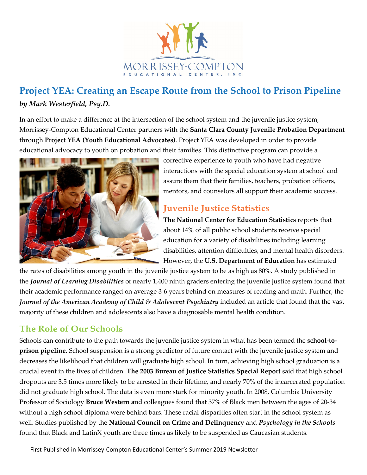

# **Project YEA: Creating an Escape Route from the School to Prison Pipeline** *by Mark Westerfield, Psy.D.*

In an effort to make a difference at the intersection of the school system and the juvenile justice system, Morrissey-Compton Educational Center partners with the **Santa Clara County Juvenile Probation Department** through **Project YEA (Youth Educational Advocates)**. Project YEA was developed in order to provide educational advocacy to youth on probation and their families. This distinctive program can provide a



corrective experience to youth who have had negative interactions with the special education system at school and assure them that their families, teachers, probation officers, mentors, and counselors all support their academic success.

### **Juvenile Justice Statistics**

**The National Center for Education Statistics** reports that about 14% of all public school students receive special education for a variety of disabilities including learning disabilities, attention difficulties, and mental health disorders. However, the **U.S. Department of Education** has estimated

the rates of disabilities among youth in the juvenile justice system to be as high as 80%. A study published in the *Journal of Learning Disabilities* of nearly 1,400 ninth graders entering the juvenile justice system found that their academic performance ranged on average 3-6 years behind on measures of reading and math. Further, the *Journal of the American Academy of Child & Adolescent Psychiatry* included an article that found that the vast majority of these children and adolescents also have a diagnosable mental health condition.

### **The Role of Our Schools**

Schools can contribute to the path towards the juvenile justice system in what has been termed the **school-toprison pipeline**. School suspension is a strong predictor of future contact with the juvenile justice system and decreases the likelihood that children will graduate high school. In turn, achieving high school graduation is a crucial event in the lives of children. **The 2003 Bureau of Justice Statistics Special Report** said that high school dropouts are 3.5 times more likely to be arrested in their lifetime, and nearly 70% of the incarcerated population did not graduate high school. The data is even more stark for minority youth. In 2008, Columbia University Professor of Sociology **Bruce Western a**nd colleagues found that 37% of Black men between the ages of 20-34 without a high school diploma were behind bars. These racial disparities often start in the school system as well. Studies published by the **National Council on Crime and Delinquency** and *Psychology in the Schools*  found that Black and LatinX youth are three times as likely to be suspended as Caucasian students.

First Published in Morrissey-Compton Educational Center's Summer 2019 Newsletter